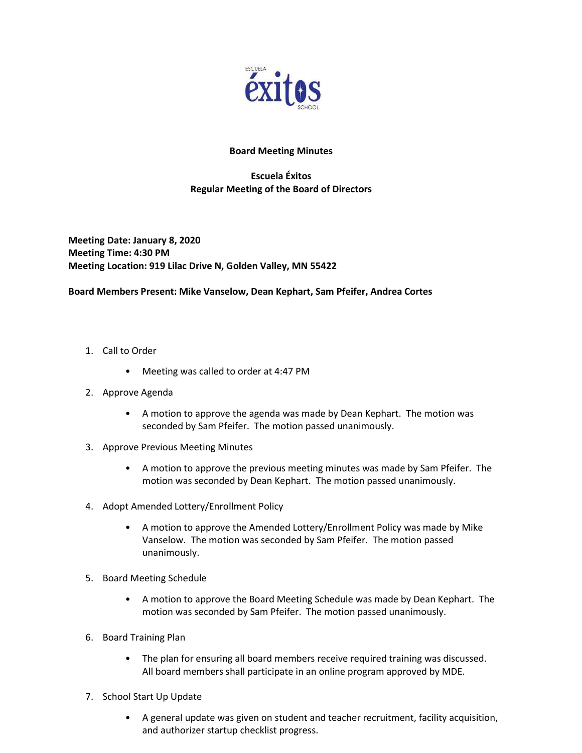

## Board Meeting Minutes

## Escuela Éxitos Regular Meeting of the Board of Directors

Meeting Date: January 8, 2020 Meeting Time: 4:30 PM Meeting Location: 919 Lilac Drive N, Golden Valley, MN 55422

## Board Members Present: Mike Vanselow, Dean Kephart, Sam Pfeifer, Andrea Cortes

- 1. Call to Order
	- Meeting was called to order at 4:47 PM
- 2. Approve Agenda
	- A motion to approve the agenda was made by Dean Kephart. The motion was seconded by Sam Pfeifer. The motion passed unanimously.
- 3. Approve Previous Meeting Minutes
	- A motion to approve the previous meeting minutes was made by Sam Pfeifer. The motion was seconded by Dean Kephart. The motion passed unanimously.
- 4. Adopt Amended Lottery/Enrollment Policy
	- A motion to approve the Amended Lottery/Enrollment Policy was made by Mike Vanselow. The motion was seconded by Sam Pfeifer. The motion passed unanimously.
- 5. Board Meeting Schedule
	- A motion to approve the Board Meeting Schedule was made by Dean Kephart. The motion was seconded by Sam Pfeifer. The motion passed unanimously.
- 6. Board Training Plan
	- The plan for ensuring all board members receive required training was discussed. All board members shall participate in an online program approved by MDE.
- 7. School Start Up Update
	- A general update was given on student and teacher recruitment, facility acquisition, and authorizer startup checklist progress.